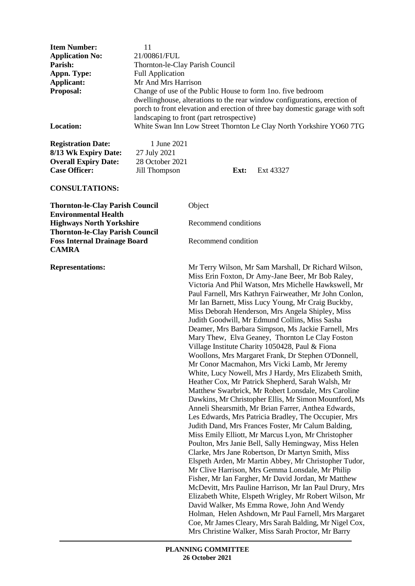| <b>Item Number:</b>    | 11                                                                                                                                                                                                                                                                     |
|------------------------|------------------------------------------------------------------------------------------------------------------------------------------------------------------------------------------------------------------------------------------------------------------------|
| <b>Application No:</b> | 21/00861/FUL                                                                                                                                                                                                                                                           |
| Parish:                | Thornton-le-Clay Parish Council                                                                                                                                                                                                                                        |
| Appn. Type:            | <b>Full Application</b>                                                                                                                                                                                                                                                |
| Applicant:             | Mr And Mrs Harrison                                                                                                                                                                                                                                                    |
| <b>Proposal:</b>       | Change of use of the Public House to form 1 no. five bedroom<br>dwellinghouse, alterations to the rear window configurations, erection of<br>porch to front elevation and erection of three bay domestic garage with soft<br>landscaping to front (part retrospective) |
| <b>Location:</b>       | White Swan Inn Low Street Thornton Le Clay North Yorkshire YO60 7TG                                                                                                                                                                                                    |

**Registration Date:** 1 June 2021 **8/13 Wk Expiry Date:** 27 July 2021 **Overall Expiry Date:** 28 October 2021 **Case Officer:** Jill Thompson **Ext:** Ext 43327

#### **CONSULTATIONS:**

**Thornton-le-Clay Parish Council** Object **Environmental Health Highways North Yorkshire** Recommend conditions **Thornton-le-Clay Parish Council Foss Internal Drainage Board** Recommend condition **CAMRA**

**Representations:** Mr Terry Wilson, Mr Sam Marshall, Dr Richard Wilson, Miss Erin Foxton, Dr Amy-Jane Beer, Mr Bob Raley, Victoria And Phil Watson, Mrs Michelle Hawkswell, Mr Paul Farnell, Mrs Kathryn Fairweather, Mr John Conlon, Mr Ian Barnett, Miss Lucy Young, Mr Craig Buckby, Miss Deborah Henderson, Mrs Angela Shipley, Miss Judith Goodwill, Mr Edmund Collins, Miss Sasha Deamer, Mrs Barbara Simpson, Ms Jackie Farnell, Mrs Mary Thew, Elva Geaney, Thornton Le Clay Foston Village Institute Charity 1050428, Paul & Fiona Woollons, Mrs Margaret Frank, Dr Stephen O'Donnell, Mr Conor Macmahon, Mrs Vicki Lamb, Mr Jeremy White, Lucy Nowell, Mrs J Hardy, Mrs Elizabeth Smith, Heather Cox, Mr Patrick Shepherd, Sarah Walsh, Mr Matthew Swarbrick, Mr Robert Lonsdale, Mrs Caroline Dawkins, Mr Christopher Ellis, Mr Simon Mountford, Ms Anneli Shearsmith, Mr Brian Farrer, Anthea Edwards, Les Edwards, Mrs Patricia Bradley, The Occupier, Mrs Judith Dand, Mrs Frances Foster, Mr Calum Balding, Miss Emily Elliott, Mr Marcus Lyon, Mr Christopher Poulton, Mrs Janie Bell, Sally Hemingway, Miss Helen Clarke, Mrs Jane Robertson, Dr Martyn Smith, Miss Elspeth Arden, Mr Martin Abbey, Mr Christopher Tudor, Mr Clive Harrison, Mrs Gemma Lonsdale, Mr Philip Fisher, Mr Ian Fargher, Mr David Jordan, Mr Matthew McDevitt, Mrs Pauline Harrison, Mr Ian Paul Drury, Mrs Elizabeth White, Elspeth Wrigley, Mr Robert Wilson, Mr David Walker, Ms Emma Rowe, John And Wendy Holman, Helen Ashdown, Mr Paul Farnell, Mrs Margaret Coe, Mr James Cleary, Mrs Sarah Balding, Mr Nigel Cox, Mrs Christine Walker, Miss Sarah Proctor, Mr Barry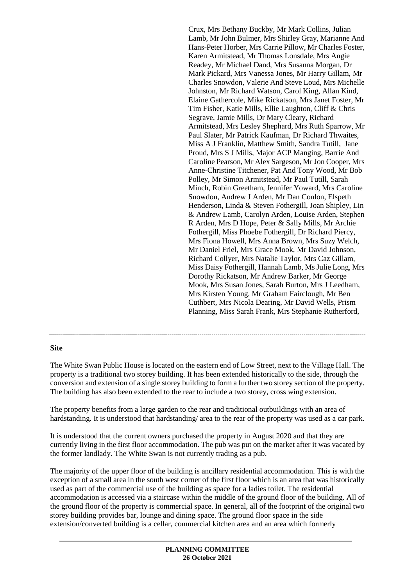Crux, Mrs Bethany Buckby, Mr Mark Collins, Julian Lamb, Mr John Bulmer, Mrs Shirley Gray, Marianne And Hans-Peter Horber, Mrs Carrie Pillow, Mr Charles Foster, Karen Armitstead, Mr Thomas Lonsdale, Mrs Angie Readey, Mr Michael Dand, Mrs Susanna Morgan, Dr Mark Pickard, Mrs Vanessa Jones, Mr Harry Gillam, Mr Charles Snowdon, Valerie And Steve Loud, Mrs Michelle Johnston, Mr Richard Watson, Carol King, Allan Kind, Elaine Gathercole, Mike Rickatson, Mrs Janet Foster, Mr Tim Fisher, Katie Mills, Ellie Laughton, Cliff & Chris Segrave, Jamie Mills, Dr Mary Cleary, Richard Armitstead, Mrs Lesley Shephard, Mrs Ruth Sparrow, Mr Paul Slater, Mr Patrick Kaufman, Dr Richard Thwaites, Miss A J Franklin, Matthew Smith, Sandra Tutill, Jane Proud, Mrs S J Mills, Major ACP Manging, Barrie And Caroline Pearson, Mr Alex Sargeson, Mr Jon Cooper, Mrs Anne-Christine Titchener, Pat And Tony Wood, Mr Bob Polley, Mr Simon Armitstead, Mr Paul Tutill, Sarah Minch, Robin Greetham, Jennifer Yoward, Mrs Caroline Snowdon, Andrew J Arden, Mr Dan Conlon, Elspeth Henderson, Linda & Steven Fothergill, Joan Shipley, Lin & Andrew Lamb, Carolyn Arden, Louise Arden, Stephen R Arden, Mrs D Hope, Peter & Sally Mills, Mr Archie Fothergill, Miss Phoebe Fothergill, Dr Richard Piercy, Mrs Fiona Howell, Mrs Anna Brown, Mrs Suzy Welch, Mr Daniel Friel, Mrs Grace Mook, Mr David Johnson, Richard Collyer, Mrs Natalie Taylor, Mrs Caz Gillam, Miss Daisy Fothergill, Hannah Lamb, Ms Julie Long, Mrs Dorothy Rickatson, Mr Andrew Barker, Mr George Mook, Mrs Susan Jones, Sarah Burton, Mrs J Leedham, Mrs Kirsten Young, Mr Graham Fairclough, Mr Ben Cuthbert, Mrs Nicola Dearing, Mr David Wells, Prism Planning, Miss Sarah Frank, Mrs Stephanie Rutherford,

#### **Site**

The White Swan Public House is located on the eastern end of Low Street, next to the Village Hall. The property is a traditional two storey building. It has been extended historically to the side, through the conversion and extension of a single storey building to form a further two storey section of the property. The building has also been extended to the rear to include a two storey, cross wing extension.

The property benefits from a large garden to the rear and traditional outbuildings with an area of hardstanding. It is understood that hardstanding/ area to the rear of the property was used as a car park.

It is understood that the current owners purchased the property in August 2020 and that they are currently living in the first floor accommodation. The pub was put on the market after it was vacated by the former landlady. The White Swan is not currently trading as a pub.

The majority of the upper floor of the building is ancillary residential accommodation. This is with the exception of a small area in the south west corner of the first floor which is an area that was historically used as part of the commercial use of the building as space for a ladies toilet. The residential accommodation is accessed via a staircase within the middle of the ground floor of the building. All of the ground floor of the property is commercial space. In general, all of the footprint of the original two storey building provides bar, lounge and dining space. The ground floor space in the side extension/converted building is a cellar, commercial kitchen area and an area which formerly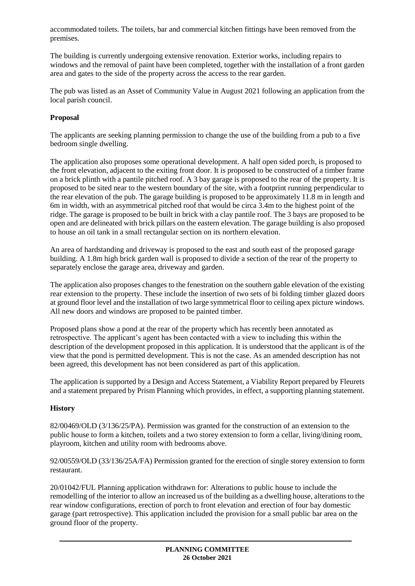accommodated toilets. The toilets, bar and commercial kitchen fittings have been removed from the premises.

The building is currently undergoing extensive renovation. Exterior works, including repairs to windows and the removal of paint have been completed, together with the installation of a front garden area and gates to the side of the property across the access to the rear garden.

The pub was listed as an Asset of Community Value in August 2021 following an application from the local parish council.

### **Proposal**

The applicants are seeking planning permission to change the use of the building from a pub to a five bedroom single dwelling.

The application also proposes some operational development. A half open sided porch, is proposed to the front elevation, adjacent to the exiting front door. It is proposed to be constructed of a timber frame on a brick plinth with a pantile pitched roof. A 3 bay garage is proposed to the rear of the property. It is proposed to be sited near to the western boundary of the site, with a footprint running perpendicular to the rear elevation of the pub. The garage building is proposed to be approximately 11.8 m in length and 6m in width, with an asymmetrical pitched roof that would be circa 3.4m to the highest point of the ridge. The garage is proposed to be built in brick with a clay pantile roof. The 3 bays are proposed to be open and are delineated with brick pillars on the eastern elevation. The garage building is also proposed to house an oil tank in a small rectangular section on its northern elevation.

An area of hardstanding and driveway is proposed to the east and south east of the proposed garage building. A 1.8m high brick garden wall is proposed to divide a section of the rear of the property to separately enclose the garage area, driveway and garden.

The application also proposes changes to the fenestration on the southern gable elevation of the existing rear extension to the property. These include the insertion of two sets of bi folding timber glazed doors at ground floor level and the installation of two large symmetrical floor to ceiling apex picture windows. All new doors and windows are proposed to be painted timber.

Proposed plans show a pond at the rear of the property which has recently been annotated as retrospective. The applicant's agent has been contacted with a view to including this within the description of the development proposed in this application. It is understood that the applicant is of the view that the pond is permitted development. This is not the case. As an amended description has not been agreed, this development has not been considered as part of this application.

The application is supported by a Design and Access Statement, a Viability Report prepared by Fleurets and a statement prepared by Prism Planning which provides, in effect, a supporting planning statement.

# **History**

82/00469/OLD (3/136/25/PA). Permission was granted for the construction of an extension to the public house to form a kitchen, toilets and a two storey extension to form a cellar, living/dining room, playroom, kitchen and utility room with bedrooms above.

92/00559/OLD (33/136/25A/FA) Permission granted for the erection of single storey extension to form restaurant.

20/01042/FUL Planning application withdrawn for: Alterations to public house to include the remodelling of the interior to allow an increased us of the building as a dwelling house, alterations to the rear window configurations, erection of porch to front elevation and erection of four bay domestic garage (part retrospective). This application included the provision for a small public bar area on the ground floor of the property.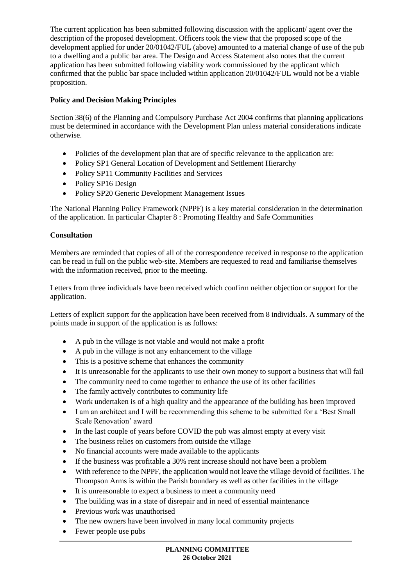The current application has been submitted following discussion with the applicant/ agent over the description of the proposed development. Officers took the view that the proposed scope of the development applied for under 20/01042/FUL (above) amounted to a material change of use of the pub to a dwelling and a public bar area. The Design and Access Statement also notes that the current application has been submitted following viability work commissioned by the applicant which confirmed that the public bar space included within application 20/01042/FUL would not be a viable proposition.

# **Policy and Decision Making Principles**

Section 38(6) of the Planning and Compulsory Purchase Act 2004 confirms that planning applications must be determined in accordance with the Development Plan unless material considerations indicate otherwise.

- Policies of the development plan that are of specific relevance to the application are:
- Policy SP1 General Location of Development and Settlement Hierarchy
- Policy SP11 Community Facilities and Services
- Policy SP16 Design
- Policy SP20 Generic Development Management Issues

The National Planning Policy Framework (NPPF) is a key material consideration in the determination of the application. In particular Chapter 8 : Promoting Healthy and Safe Communities

# **Consultation**

Members are reminded that copies of all of the correspondence received in response to the application can be read in full on the public web-site. Members are requested to read and familiarise themselves with the information received, prior to the meeting.

Letters from three individuals have been received which confirm neither objection or support for the application.

Letters of explicit support for the application have been received from 8 individuals. A summary of the points made in support of the application is as follows:

- A pub in the village is not viable and would not make a profit
- A pub in the village is not any enhancement to the village
- This is a positive scheme that enhances the community
- It is unreasonable for the applicants to use their own money to support a business that will fail
- The community need to come together to enhance the use of its other facilities
- The family actively contributes to community life
- Work undertaken is of a high quality and the appearance of the building has been improved
- I am an architect and I will be recommending this scheme to be submitted for a 'Best Small' Scale Renovation' award
- In the last couple of years before COVID the pub was almost empty at every visit
- The business relies on customers from outside the village
- No financial accounts were made available to the applicants
- If the business was profitable a 30% rent increase should not have been a problem
- With reference to the NPPF, the application would not leave the village devoid of facilities. The Thompson Arms is within the Parish boundary as well as other facilities in the village
- It is unreasonable to expect a business to meet a community need
- The building was in a state of disrepair and in need of essential maintenance
- Previous work was unauthorised
- The new owners have been involved in many local community projects
- Fewer people use pubs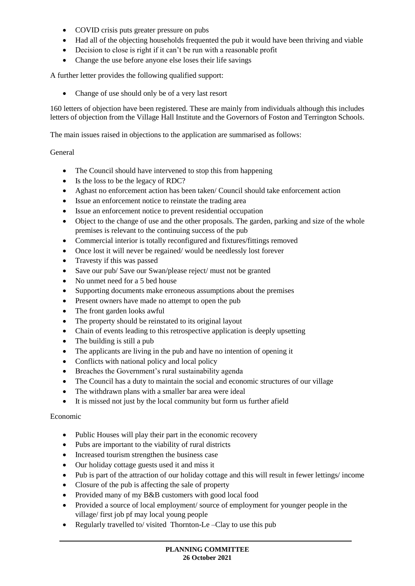- COVID crisis puts greater pressure on pubs
- Had all of the objecting households frequented the pub it would have been thriving and viable
- Decision to close is right if it can't be run with a reasonable profit
- Change the use before anyone else loses their life savings

A further letter provides the following qualified support:

• Change of use should only be of a very last resort

160 letters of objection have been registered. These are mainly from individuals although this includes letters of objection from the Village Hall Institute and the Governors of Foston and Terrington Schools.

The main issues raised in objections to the application are summarised as follows:

#### General

- The Council should have intervened to stop this from happening
- Is the loss to be the legacy of RDC?
- Aghast no enforcement action has been taken/ Council should take enforcement action
- Issue an enforcement notice to reinstate the trading area
- Issue an enforcement notice to prevent residential occupation
- Object to the change of use and the other proposals. The garden, parking and size of the whole premises is relevant to the continuing success of the pub
- Commercial interior is totally reconfigured and fixtures/fittings removed
- Once lost it will never be regained/would be needlessly lost forever
- Travesty if this was passed
- Save our pub/ Save our Swan/please reject/ must not be granted
- No unmet need for a 5 bed house
- Supporting documents make erroneous assumptions about the premises
- Present owners have made no attempt to open the pub
- The front garden looks awful
- The property should be reinstated to its original layout
- Chain of events leading to this retrospective application is deeply upsetting
- The building is still a pub
- The applicants are living in the pub and have no intention of opening it
- Conflicts with national policy and local policy
- Breaches the Government's rural sustainability agenda
- The Council has a duty to maintain the social and economic structures of our village
- The withdrawn plans with a smaller bar area were ideal
- It is missed not just by the local community but form us further afield

### Economic

- Public Houses will play their part in the economic recovery
- Pubs are important to the viability of rural districts
- Increased tourism strengthen the business case
- Our holiday cottage guests used it and miss it
- Pub is part of the attraction of our holiday cottage and this will result in fewer lettings/ income
- Closure of the pub is affecting the sale of property
- Provided many of my B&B customers with good local food
- Provided a source of local employment/ source of employment for younger people in the village/ first job pf may local young people
- Regularly travelled to/ visited Thornton-Le –Clay to use this pub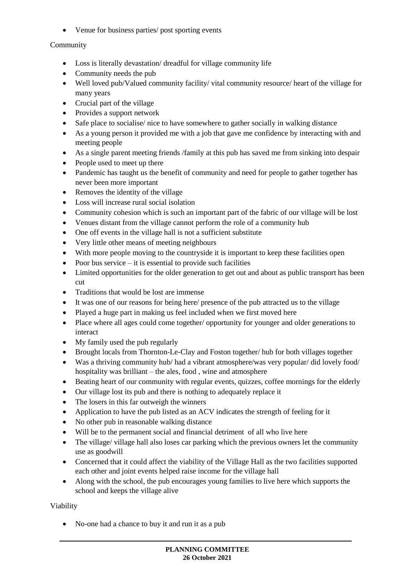Venue for business parties/ post sporting events

# Community

- Loss is literally devastation/ dreadful for village community life
- Community needs the pub
- Well loved pub/Valued community facility/ vital community resource/ heart of the village for many years
- Crucial part of the village
- Provides a support network
- Safe place to socialise/ nice to have somewhere to gather socially in walking distance
- As a young person it provided me with a job that gave me confidence by interacting with and meeting people
- As a single parent meeting friends /family at this pub has saved me from sinking into despair
- People used to meet up there
- Pandemic has taught us the benefit of community and need for people to gather together has never been more important
- Removes the identity of the village
- Loss will increase rural social isolation
- Community cohesion which is such an important part of the fabric of our village will be lost
- Venues distant from the village cannot perform the role of a community hub
- One off events in the village hall is not a sufficient substitute
- Very little other means of meeting neighbours
- With more people moving to the countryside it is important to keep these facilities open
- Poor bus service  $-$  it is essential to provide such facilities
- Limited opportunities for the older generation to get out and about as public transport has been cut
- Traditions that would be lost are immense
- It was one of our reasons for being here/ presence of the pub attracted us to the village
- Played a huge part in making us feel included when we first moved here
- Place where all ages could come together/ opportunity for younger and older generations to interact
- My family used the pub regularly
- Brought locals from Thornton-Le-Clay and Foston together/ hub for both villages together
- Was a thriving community hub/ had a vibrant atmosphere/was very popular/ did lovely food/ hospitality was brilliant – the ales, food , wine and atmosphere
- Beating heart of our community with regular events, quizzes, coffee mornings for the elderly
- Our village lost its pub and there is nothing to adequately replace it
- The losers in this far outweigh the winners
- Application to have the pub listed as an ACV indicates the strength of feeling for it
- No other pub in reasonable walking distance
- Will be to the permanent social and financial detriment of all who live here
- The village/ village hall also loses car parking which the previous owners let the community use as goodwill
- Concerned that it could affect the viability of the Village Hall as the two facilities supported each other and joint events helped raise income for the village hall
- Along with the school, the pub encourages young families to live here which supports the school and keeps the village alive

Viability

• No-one had a chance to buy it and run it as a pub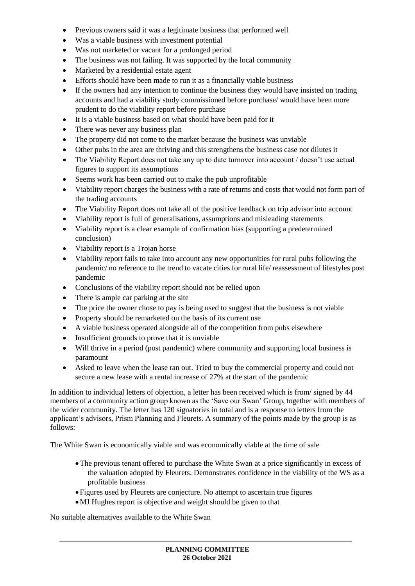- Previous owners said it was a legitimate business that performed well
- Was a viable business with investment potential
- Was not marketed or vacant for a prolonged period
- The business was not failing. It was supported by the local community
- Marketed by a residential estate agent
- Efforts should have been made to run it as a financially viable business
- If the owners had any intention to continue the business they would have insisted on trading accounts and had a viability study commissioned before purchase/ would have been more prudent to do the viability report before purchase
- It is a viable business based on what should have been paid for it
- There was never any business plan
- The property did not come to the market because the business was unviable
- Other pubs in the area are thriving and this strengthens the business case not dilutes it
- The Viability Report does not take any up to date turnover into account / doesn't use actual figures to support its assumptions
- Seems work has been carried out to make the pub unprofitable
- Viability report charges the business with a rate of returns and costs that would not form part of the trading accounts
- The Viability Report does not take all of the positive feedback on trip advisor into account
- Viability report is full of generalisations, assumptions and misleading statements
- Viability report is a clear example of confirmation bias (supporting a predetermined conclusion)
- Viability report is a Trojan horse
- Viability report fails to take into account any new opportunities for rural pubs following the pandemic/ no reference to the trend to vacate cities for rural life/ reassessment of lifestyles post pandemic
- Conclusions of the viability report should not be relied upon
- There is ample car parking at the site
- The price the owner chose to pay is being used to suggest that the business is not viable
- Property should be remarketed on the basis of its current use
- A viable business operated alongside all of the competition from pubs elsewhere
- Insufficient grounds to prove that it is unviable
- Will thrive in a period (post pandemic) where community and supporting local business is paramount
- Asked to leave when the lease ran out. Tried to buy the commercial property and could not secure a new lease with a rental increase of 27% at the start of the pandemic

In addition to individual letters of objection, a letter has been received which is from/ signed by 44 members of a community action group known as the 'Save our Swan' Group, together with members of the wider community. The letter has 120 signatories in total and is a response to letters from the applicant's advisors, Prism Planning and Fleurets. A summary of the points made by the group is as follows:

The White Swan is economically viable and was economically viable at the time of sale

- The previous tenant offered to purchase the White Swan at a price significantly in excess of the valuation adopted by Fleurets. Demonstrates confidence in the viability of the WS as a profitable business
- Figures used by Fleurets are conjecture. No attempt to ascertain true figures
- MJ Hughes report is objective and weight should be given to that

No suitable alternatives available to the White Swan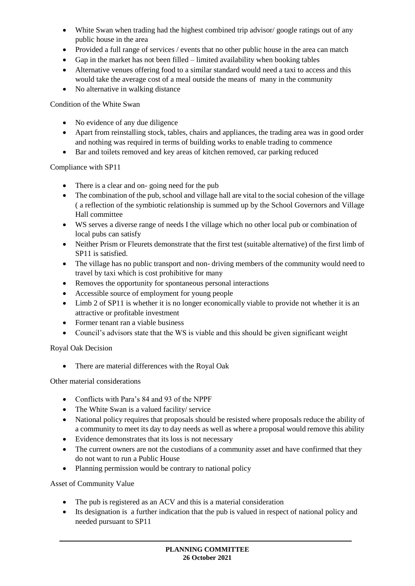- White Swan when trading had the highest combined trip advisor/ google ratings out of any public house in the area
- Provided a full range of services / events that no other public house in the area can match
- Gap in the market has not been filled limited availability when booking tables
- Alternative venues offering food to a similar standard would need a taxi to access and this would take the average cost of a meal outside the means of many in the community
- No alternative in walking distance

Condition of the White Swan

- No evidence of any due diligence
- Apart from reinstalling stock, tables, chairs and appliances, the trading area was in good order and nothing was required in terms of building works to enable trading to commence
- Bar and toilets removed and key areas of kitchen removed, car parking reduced

### Compliance with SP11

- There is a clear and on-going need for the pub
- The combination of the pub, school and village hall are vital to the social cohesion of the village ( a reflection of the symbiotic relationship is summed up by the School Governors and Village Hall committee
- WS serves a diverse range of needs I the village which no other local pub or combination of local pubs can satisfy
- Neither Prism or Fleurets demonstrate that the first test (suitable alternative) of the first limb of SP11 is satisfied.
- The village has no public transport and non- driving members of the community would need to travel by taxi which is cost prohibitive for many
- Removes the opportunity for spontaneous personal interactions
- Accessible source of employment for young people
- Limb 2 of SP11 is whether it is no longer economically viable to provide not whether it is an attractive or profitable investment
- Former tenant ran a viable business
- Council's advisors state that the WS is viable and this should be given significant weight

### Royal Oak Decision

There are material differences with the Royal Oak

Other material considerations

- Conflicts with Para's 84 and 93 of the NPPF
- The White Swan is a valued facility/ service
- National policy requires that proposals should be resisted where proposals reduce the ability of a community to meet its day to day needs as well as where a proposal would remove this ability
- Evidence demonstrates that its loss is not necessary
- The current owners are not the custodians of a community asset and have confirmed that they do not want to run a Public House
- Planning permission would be contrary to national policy

Asset of Community Value

- The pub is registered as an ACV and this is a material consideration
- Its designation is a further indication that the pub is valued in respect of national policy and needed pursuant to SP11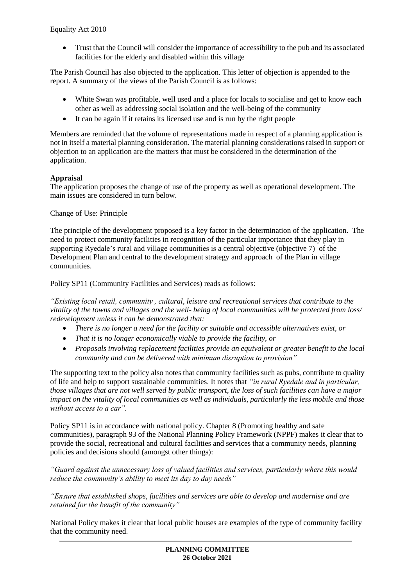Trust that the Council will consider the importance of accessibility to the pub and its associated facilities for the elderly and disabled within this village

The Parish Council has also objected to the application. This letter of objection is appended to the report. A summary of the views of the Parish Council is as follows:

- White Swan was profitable, well used and a place for locals to socialise and get to know each other as well as addressing social isolation and the well-being of the community
- It can be again if it retains its licensed use and is run by the right people

Members are reminded that the volume of representations made in respect of a planning application is not in itself a material planning consideration. The material planning considerations raised in support or objection to an application are the matters that must be considered in the determination of the application.

### **Appraisal**

The application proposes the change of use of the property as well as operational development. The main issues are considered in turn below.

Change of Use: Principle

The principle of the development proposed is a key factor in the determination of the application. The need to protect community facilities in recognition of the particular importance that they play in supporting Ryedale's rural and village communities is a central objective (objective 7) of the Development Plan and central to the development strategy and approach of the Plan in village communities.

Policy SP11 (Community Facilities and Services) reads as follows:

*"Existing local retail, community , cultural, leisure and recreational services that contribute to the vitality of the towns and villages and the well- being of local communities will be protected from loss/ redevelopment unless it can be demonstrated that:*

- *There is no longer a need for the facility or suitable and accessible alternatives exist, or*
- *That it is no longer economically viable to provide the facility, or*
- *Proposals involving replacement facilities provide an equivalent or greater benefit to the local community and can be delivered with minimum disruption to provision"*

The supporting text to the policy also notes that community facilities such as pubs, contribute to quality of life and help to support sustainable communities. It notes that *"in rural Ryedale and in particular, those villages that are not well served by public transport, the loss of such facilities can have a major impact on the vitality of local communities as well as individuals, particularly the less mobile and those without access to a car".*

Policy SP11 is in accordance with national policy. Chapter 8 (Promoting healthy and safe communities), paragraph 93 of the National Planning Policy Framework (NPPF) makes it clear that to provide the social, recreational and cultural facilities and services that a community needs, planning policies and decisions should (amongst other things):

*"Guard against the unnecessary loss of valued facilities and services, particularly where this would reduce the community's ability to meet its day to day needs"*

*"Ensure that established shops, facilities and services are able to develop and modernise and are retained for the benefit of the community"*

National Policy makes it clear that local public houses are examples of the type of community facility that the community need.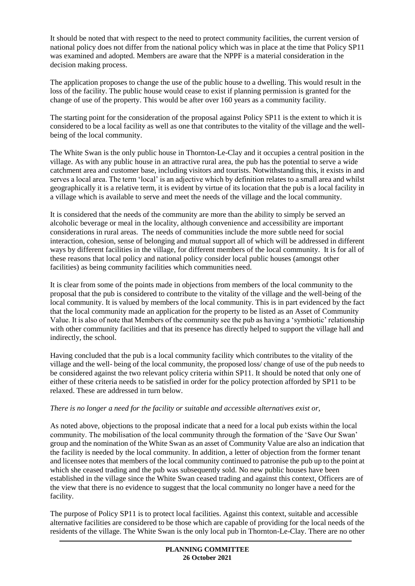It should be noted that with respect to the need to protect community facilities, the current version of national policy does not differ from the national policy which was in place at the time that Policy SP11 was examined and adopted. Members are aware that the NPPF is a material consideration in the decision making process.

The application proposes to change the use of the public house to a dwelling. This would result in the loss of the facility. The public house would cease to exist if planning permission is granted for the change of use of the property. This would be after over 160 years as a community facility.

The starting point for the consideration of the proposal against Policy SP11 is the extent to which it is considered to be a local facility as well as one that contributes to the vitality of the village and the wellbeing of the local community.

The White Swan is the only public house in Thornton-Le-Clay and it occupies a central position in the village. As with any public house in an attractive rural area, the pub has the potential to serve a wide catchment area and customer base, including visitors and tourists. Notwithstanding this, it exists in and serves a local area. The term 'local' is an adjective which by definition relates to a small area and whilst geographically it is a relative term, it is evident by virtue of its location that the pub is a local facility in a village which is available to serve and meet the needs of the village and the local community.

It is considered that the needs of the community are more than the ability to simply be served an alcoholic beverage or meal in the locality, although convenience and accessibility are important considerations in rural areas. The needs of communities include the more subtle need for social interaction, cohesion, sense of belonging and mutual support all of which will be addressed in different ways by different facilities in the village, for different members of the local community. It is for all of these reasons that local policy and national policy consider local public houses (amongst other facilities) as being community facilities which communities need.

It is clear from some of the points made in objections from members of the local community to the proposal that the pub is considered to contribute to the vitality of the village and the well-being of the local community. It is valued by members of the local community. This is in part evidenced by the fact that the local community made an application for the property to be listed as an Asset of Community Value. It is also of note that Members of the community see the pub as having a 'symbiotic' relationship with other community facilities and that its presence has directly helped to support the village hall and indirectly, the school.

Having concluded that the pub is a local community facility which contributes to the vitality of the village and the well- being of the local community, the proposed loss/ change of use of the pub needs to be considered against the two relevant policy criteria within SP11. It should be noted that only one of either of these criteria needs to be satisfied in order for the policy protection afforded by SP11 to be relaxed. These are addressed in turn below.

### *There is no longer a need for the facility or suitable and accessible alternatives exist or,*

As noted above, objections to the proposal indicate that a need for a local pub exists within the local community. The mobilisation of the local community through the formation of the 'Save Our Swan' group and the nomination of the White Swan as an asset of Community Value are also an indication that the facility is needed by the local community. In addition, a letter of objection from the former tenant and licensee notes that members of the local community continued to patronise the pub up to the point at which she ceased trading and the pub was subsequently sold. No new public houses have been established in the village since the White Swan ceased trading and against this context, Officers are of the view that there is no evidence to suggest that the local community no longer have a need for the facility.

The purpose of Policy SP11 is to protect local facilities. Against this context, suitable and accessible alternative facilities are considered to be those which are capable of providing for the local needs of the residents of the village. The White Swan is the only local pub in Thornton-Le-Clay. There are no other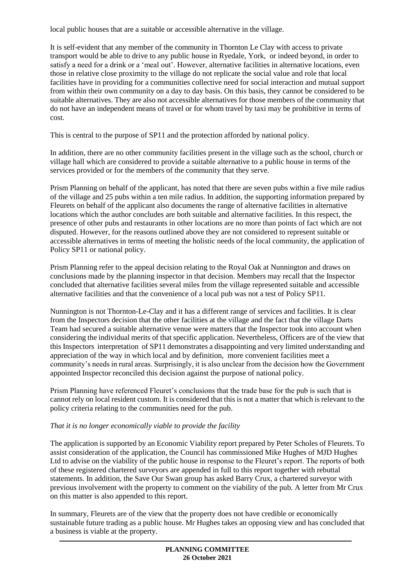local public houses that are a suitable or accessible alternative in the village.

It is self-evident that any member of the community in Thornton Le Clay with access to private transport would be able to drive to any public house in Ryedale, York, or indeed beyond, in order to satisfy a need for a drink or a 'meal out'. However, alternative facilities in alternative locations, even those in relative close proximity to the village do not replicate the social value and role that local facilities have in providing for a communities collective need for social interaction and mutual support from within their own community on a day to day basis. On this basis, they cannot be considered to be suitable alternatives. They are also not accessible alternatives for those members of the community that do not have an independent means of travel or for whom travel by taxi may be prohibitive in terms of cost.

This is central to the purpose of SP11 and the protection afforded by national policy.

In addition, there are no other community facilities present in the village such as the school, church or village hall which are considered to provide a suitable alternative to a public house in terms of the services provided or for the members of the community that they serve.

Prism Planning on behalf of the applicant, has noted that there are seven pubs within a five mile radius of the village and 25 pubs within a ten mile radius. In addition, the supporting information prepared by Fleurets on behalf of the applicant also documents the range of alternative facilities in alternative locations which the author concludes are both suitable and alternative facilities. In this respect, the presence of other pubs and restaurants in other locations are no more than points of fact which are not disputed. However, for the reasons outlined above they are not considered to represent suitable or accessible alternatives in terms of meeting the holistic needs of the local community, the application of Policy SP11 or national policy.

Prism Planning refer to the appeal decision relating to the Royal Oak at Nunnington and draws on conclusions made by the planning inspector in that decision. Members may recall that the Inspector concluded that alternative facilities several miles from the village represented suitable and accessible alternative facilities and that the convenience of a local pub was not a test of Policy SP11.

Nunnington is not Thornton-Le-Clay and it has a different range of services and facilities. It is clear from the Inspectors decision that the other facilities at the village and the fact that the village Darts Team had secured a suitable alternative venue were matters that the Inspector took into account when considering the individual merits of that specific application. Nevertheless, Officers are of the view that this Inspectors interpretation of SP11 demonstrates a disappointing and very limited understanding and appreciation of the way in which local and by definition, more convenient facilities meet a community's needs in rural areas. Surprisingly, it is also unclear from the decision how the Government appointed Inspector reconciled this decision against the purpose of national policy.

Prism Planning have referenced Fleuret's conclusions that the trade base for the pub is such that is cannot rely on local resident custom. It is considered that this is not a matter that which is relevant to the policy criteria relating to the communities need for the pub.

# *That it is no longer economically viable to provide the facility*

The application is supported by an Economic Viability report prepared by Peter Scholes of Fleurets. To assist consideration of the application, the Council has commissioned Mike Hughes of MJD Hughes Ltd to advise on the viability of the public house in response to the Fleuret's report. The reports of both of these registered chartered surveyors are appended in full to this report together with rebuttal statements. In addition, the Save Our Swan group has asked Barry Crux, a chartered surveyor with previous involvement with the property to comment on the viability of the pub. A letter from Mr Crux on this matter is also appended to this report.

In summary, Fleurets are of the view that the property does not have credible or economically sustainable future trading as a public house. Mr Hughes takes an opposing view and has concluded that a business is viable at the property.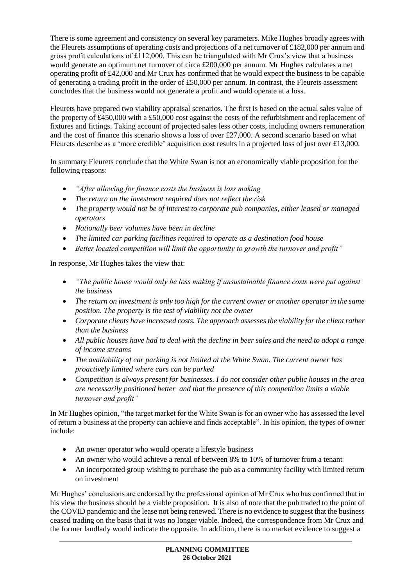There is some agreement and consistency on several key parameters. Mike Hughes broadly agrees with the Fleurets assumptions of operating costs and projections of a net turnover of £182,000 per annum and gross profit calculations of £112,000. This can be triangulated with Mr Crux's view that a business would generate an optimum net turnover of circa £200,000 per annum. Mr Hughes calculates a net operating profit of £42,000 and Mr Crux has confirmed that he would expect the business to be capable of generating a trading profit in the order of £50,000 per annum. In contrast, the Fleurets assessment concludes that the business would not generate a profit and would operate at a loss.

Fleurets have prepared two viability appraisal scenarios. The first is based on the actual sales value of the property of £450,000 with a £50,000 cost against the costs of the refurbishment and replacement of fixtures and fittings. Taking account of projected sales less other costs, including owners remuneration and the cost of finance this scenario shows a loss of over £27,000. A second scenario based on what Fleurets describe as a 'more credible' acquisition cost results in a projected loss of just over £13,000.

In summary Fleurets conclude that the White Swan is not an economically viable proposition for the following reasons:

- *"After allowing for finance costs the business is loss making*
- *The return on the investment required does not reflect the risk*
- *The property would not be of interest to corporate pub companies, either leased or managed operators*
- *Nationally beer volumes have been in decline*
- *The limited car parking facilities required to operate as a destination food house*
- *Better located competition will limit the opportunity to growth the turnover and profit"*

In response, Mr Hughes takes the view that:

- *"The public house would only be loss making if unsustainable finance costs were put against the business*
- *The return on investment is only too high for the current owner or another operator in the same position. The property is the test of viability not the owner*
- *Corporate clients have increased costs. The approach assesses the viability for the client rather than the business*
- *All public houses have had to deal with the decline in beer sales and the need to adopt a range of income streams*
- *The availability of car parking is not limited at the White Swan. The current owner has proactively limited where cars can be parked*
- *Competition is always present for businesses. I do not consider other public houses in the area are necessarily positioned better and that the presence of this competition limits a viable turnover and profit"*

In Mr Hughes opinion, "the target market for the White Swan is for an owner who has assessed the level of return a business at the property can achieve and finds acceptable". In his opinion, the types of owner include:

- An owner operator who would operate a lifestyle business
- An owner who would achieve a rental of between 8% to 10% of turnover from a tenant
- An incorporated group wishing to purchase the pub as a community facility with limited return on investment

Mr Hughes' conclusions are endorsed by the professional opinion of Mr Crux who has confirmed that in his view the business should be a viable proposition. It is also of note that the pub traded to the point of the COVID pandemic and the lease not being renewed. There is no evidence to suggest that the business ceased trading on the basis that it was no longer viable. Indeed, the correspondence from Mr Crux and the former landlady would indicate the opposite. In addition, there is no market evidence to suggest a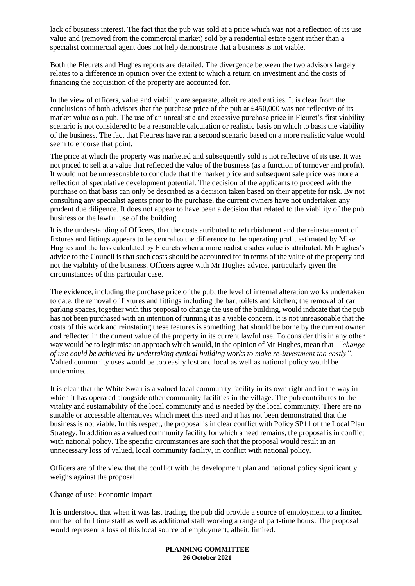lack of business interest. The fact that the pub was sold at a price which was not a reflection of its use value and (removed from the commercial market) sold by a residential estate agent rather than a specialist commercial agent does not help demonstrate that a business is not viable.

Both the Fleurets and Hughes reports are detailed. The divergence between the two advisors largely relates to a difference in opinion over the extent to which a return on investment and the costs of financing the acquisition of the property are accounted for.

In the view of officers, value and viability are separate, albeit related entities. It is clear from the conclusions of both advisors that the purchase price of the pub at £450,000 was not reflective of its market value as a pub. The use of an unrealistic and excessive purchase price in Fleuret's first viability scenario is not considered to be a reasonable calculation or realistic basis on which to basis the viability of the business. The fact that Fleurets have ran a second scenario based on a more realistic value would seem to endorse that point.

The price at which the property was marketed and subsequently sold is not reflective of its use. It was not priced to sell at a value that reflected the value of the business (as a function of turnover and profit). It would not be unreasonable to conclude that the market price and subsequent sale price was more a reflection of speculative development potential. The decision of the applicants to proceed with the purchase on that basis can only be described as a decision taken based on their appetite for risk. By not consulting any specialist agents prior to the purchase, the current owners have not undertaken any prudent due diligence. It does not appear to have been a decision that related to the viability of the pub business or the lawful use of the building.

It is the understanding of Officers, that the costs attributed to refurbishment and the reinstatement of fixtures and fittings appears to be central to the difference to the operating profit estimated by Mike Hughes and the loss calculated by Fleurets when a more realistic sales value is attributed. Mr Hughes's advice to the Council is that such costs should be accounted for in terms of the value of the property and not the viability of the business. Officers agree with Mr Hughes advice, particularly given the circumstances of this particular case.

The evidence, including the purchase price of the pub; the level of internal alteration works undertaken to date; the removal of fixtures and fittings including the bar, toilets and kitchen; the removal of car parking spaces, together with this proposal to change the use of the building, would indicate that the pub has not been purchased with an intention of running it as a viable concern. It is not unreasonable that the costs of this work and reinstating these features is something that should be borne by the current owner and reflected in the current value of the property in its current lawful use. To consider this in any other way would be to legitimise an approach which would, in the opinion of Mr Hughes, mean that *"change of use could be achieved by undertaking cynical building works to make re-investment too costly".* Valued community uses would be too easily lost and local as well as national policy would be undermined.

It is clear that the White Swan is a valued local community facility in its own right and in the way in which it has operated alongside other community facilities in the village. The pub contributes to the vitality and sustainability of the local community and is needed by the local community. There are no suitable or accessible alternatives which meet this need and it has not been demonstrated that the business is not viable. In this respect, the proposal is in clear conflict with Policy SP11 of the Local Plan Strategy. In addition as a valued community facility for which a need remains, the proposal is in conflict with national policy. The specific circumstances are such that the proposal would result in an unnecessary loss of valued, local community facility, in conflict with national policy.

Officers are of the view that the conflict with the development plan and national policy significantly weighs against the proposal.

Change of use: Economic Impact

It is understood that when it was last trading, the pub did provide a source of employment to a limited number of full time staff as well as additional staff working a range of part-time hours. The proposal would represent a loss of this local source of employment, albeit, limited.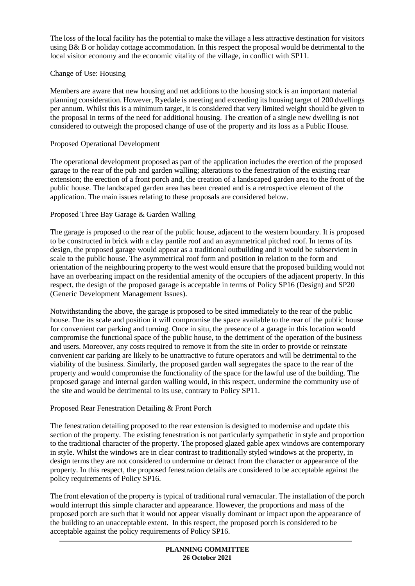The loss of the local facility has the potential to make the village a less attractive destination for visitors using B& B or holiday cottage accommodation. In this respect the proposal would be detrimental to the local visitor economy and the economic vitality of the village, in conflict with SP11.

### Change of Use: Housing

Members are aware that new housing and net additions to the housing stock is an important material planning consideration. However, Ryedale is meeting and exceeding its housing target of 200 dwellings per annum. Whilst this is a minimum target, it is considered that very limited weight should be given to the proposal in terms of the need for additional housing. The creation of a single new dwelling is not considered to outweigh the proposed change of use of the property and its loss as a Public House.

### Proposed Operational Development

The operational development proposed as part of the application includes the erection of the proposed garage to the rear of the pub and garden walling; alterations to the fenestration of the existing rear extension; the erection of a front porch and, the creation of a landscaped garden area to the front of the public house. The landscaped garden area has been created and is a retrospective element of the application. The main issues relating to these proposals are considered below.

### Proposed Three Bay Garage & Garden Walling

The garage is proposed to the rear of the public house, adjacent to the western boundary. It is proposed to be constructed in brick with a clay pantile roof and an asymmetrical pitched roof. In terms of its design, the proposed garage would appear as a traditional outbuilding and it would be subservient in scale to the public house. The asymmetrical roof form and position in relation to the form and orientation of the neighbouring property to the west would ensure that the proposed building would not have an overbearing impact on the residential amenity of the occupiers of the adjacent property. In this respect, the design of the proposed garage is acceptable in terms of Policy SP16 (Design) and SP20 (Generic Development Management Issues).

Notwithstanding the above, the garage is proposed to be sited immediately to the rear of the public house. Due its scale and position it will compromise the space available to the rear of the public house for convenient car parking and turning. Once in situ, the presence of a garage in this location would compromise the functional space of the public house, to the detriment of the operation of the business and users. Moreover, any costs required to remove it from the site in order to provide or reinstate convenient car parking are likely to be unattractive to future operators and will be detrimental to the viability of the business. Similarly, the proposed garden wall segregates the space to the rear of the property and would compromise the functionality of the space for the lawful use of the building. The proposed garage and internal garden walling would, in this respect, undermine the community use of the site and would be detrimental to its use, contrary to Policy SP11.

### Proposed Rear Fenestration Detailing & Front Porch

The fenestration detailing proposed to the rear extension is designed to modernise and update this section of the property. The existing fenestration is not particularly sympathetic in style and proportion to the traditional character of the property. The proposed glazed gable apex windows are contemporary in style. Whilst the windows are in clear contrast to traditionally styled windows at the property, in design terms they are not considered to undermine or detract from the character or appearance of the property. In this respect, the proposed fenestration details are considered to be acceptable against the policy requirements of Policy SP16.

The front elevation of the property is typical of traditional rural vernacular. The installation of the porch would interrupt this simple character and appearance. However, the proportions and mass of the proposed porch are such that it would not appear visually dominant or impact upon the appearance of the building to an unacceptable extent. In this respect, the proposed porch is considered to be acceptable against the policy requirements of Policy SP16.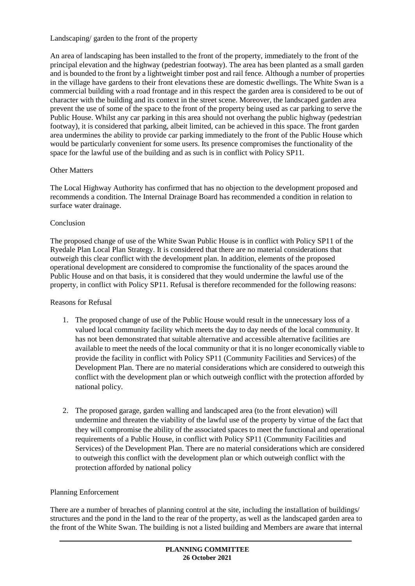Landscaping/ garden to the front of the property

An area of landscaping has been installed to the front of the property, immediately to the front of the principal elevation and the highway (pedestrian footway). The area has been planted as a small garden and is bounded to the front by a lightweight timber post and rail fence. Although a number of properties in the village have gardens to their front elevations these are domestic dwellings. The White Swan is a commercial building with a road frontage and in this respect the garden area is considered to be out of character with the building and its context in the street scene. Moreover, the landscaped garden area prevent the use of some of the space to the front of the property being used as car parking to serve the Public House. Whilst any car parking in this area should not overhang the public highway (pedestrian footway), it is considered that parking, albeit limited, can be achieved in this space. The front garden area undermines the ability to provide car parking immediately to the front of the Public House which would be particularly convenient for some users. Its presence compromises the functionality of the space for the lawful use of the building and as such is in conflict with Policy SP11.

### Other Matters

The Local Highway Authority has confirmed that has no objection to the development proposed and recommends a condition. The Internal Drainage Board has recommended a condition in relation to surface water drainage.

#### Conclusion

The proposed change of use of the White Swan Public House is in conflict with Policy SP11 of the Ryedale Plan Local Plan Strategy. It is considered that there are no material considerations that outweigh this clear conflict with the development plan. In addition, elements of the proposed operational development are considered to compromise the functionality of the spaces around the Public House and on that basis, it is considered that they would undermine the lawful use of the property, in conflict with Policy SP11. Refusal is therefore recommended for the following reasons:

### Reasons for Refusal

- 1. The proposed change of use of the Public House would result in the unnecessary loss of a valued local community facility which meets the day to day needs of the local community. It has not been demonstrated that suitable alternative and accessible alternative facilities are available to meet the needs of the local community or that it is no longer economically viable to provide the facility in conflict with Policy SP11 (Community Facilities and Services) of the Development Plan. There are no material considerations which are considered to outweigh this conflict with the development plan or which outweigh conflict with the protection afforded by national policy.
- 2. The proposed garage, garden walling and landscaped area (to the front elevation) will undermine and threaten the viability of the lawful use of the property by virtue of the fact that they will compromise the ability of the associated spaces to meet the functional and operational requirements of a Public House, in conflict with Policy SP11 (Community Facilities and Services) of the Development Plan. There are no material considerations which are considered to outweigh this conflict with the development plan or which outweigh conflict with the protection afforded by national policy

### Planning Enforcement

There are a number of breaches of planning control at the site, including the installation of buildings/ structures and the pond in the land to the rear of the property, as well as the landscaped garden area to the front of the White Swan. The building is not a listed building and Members are aware that internal